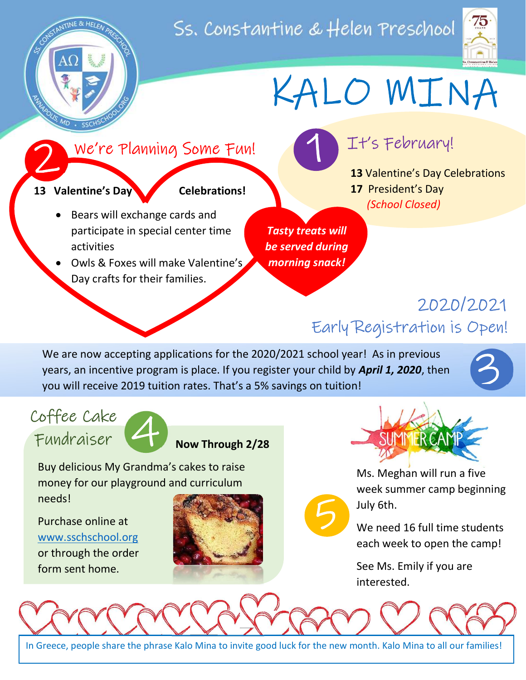## Ss. Constantine & Helen Preschool





# KALO MINA

#### We're Planning Some Fun! 2

13 Valentine's Day Celebrations!

- Bears will exchange cards and participate in special center time activities
- Owls & Foxes will make Valentine's Day crafts for their families.

Tasty treats will be served during morning snack!

5

 $\overline{\phantom{a}}$ 

## It's February! ļ

13 Valentine's Day Celebrations 17 President's Day (School Closed)

## 2020/2021 Early Registration is Open!

We are now accepting applications for the 2020/2021 school year! As in previous years, an incentive program is place. If you register your child by **April 1, 2020**, then you will receive 2019 tuition rates. That's a 5% savings on tuition!







Now Through 2/28

Buy delicious My Grandma's cakes to raise money for our playground and curriculum needs!

Purchase online at www.sschschool.org or through the order form sent home.





Ms. Meghan will run a five week summer camp beginning July 6th.

We need 16 full time students each week to open the camp!

See Ms. Emily if you are interested.

j

In Greece, people share the phrase Kalo Mina to invite good luck for the new month. Kalo Mina to all our families!